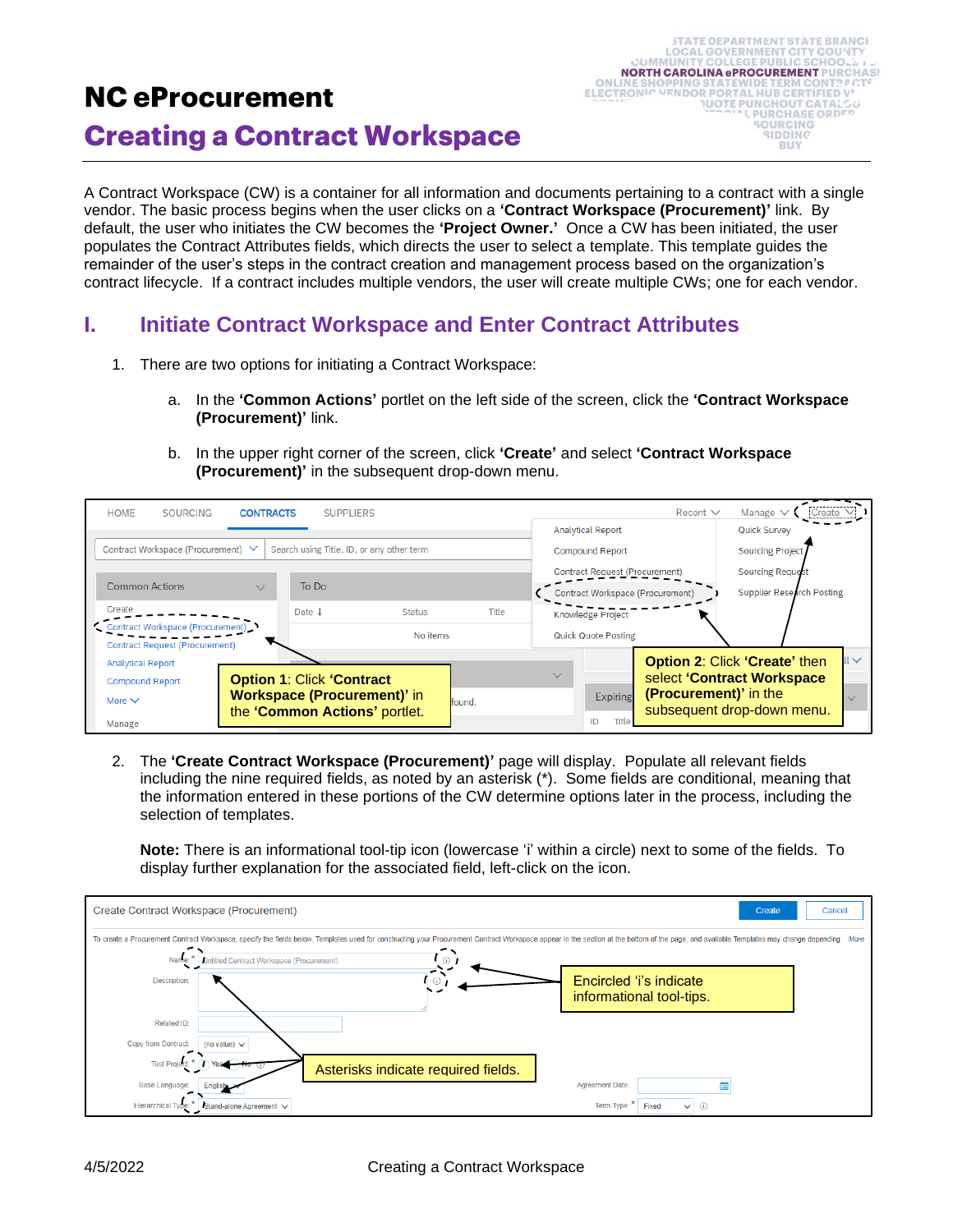# **NC eProcurement Creating a Contract Workspace**

A Contract Workspace (CW) is a container for all information and documents pertaining to a contract with a single vendor. The basic process begins when the user clicks on a **'Contract Workspace (Procurement)'** link. By default, the user who initiates the CW becomes the **'Project Owner.'** Once a CW has been initiated, the user populates the Contract Attributes fields, which directs the user to select a template. This template guides the remainder of the user's steps in the contract creation and management process based on the organization's contract lifecycle. If a contract includes multiple vendors, the user will create multiple CWs; one for each vendor.

# **I. Initiate Contract Workspace and Enter Contract Attributes**

- 1. There are two options for initiating a Contract Workspace:
	- a. In the **'Common Actions'** portlet on the left side of the screen, click the **'Contract Workspace (Procurement)'** link.
	- b. In the upper right corner of the screen, click **'Create'** and select **'Contract Workspace (Procurement)'** in the subsequent drop-down menu.



2. The **'Create Contract Workspace (Procurement)'** page will display. Populate all relevant fields including the nine required fields, as noted by an asterisk (\*). Some fields are conditional, meaning that the information entered in these portions of the CW determine options later in the process, including the selection of templates.

**Note:** There is an informational tool-tip icon (lowercase 'i' within a circle) next to some of the fields. To display further explanation for the associated field, left-click on the icon.

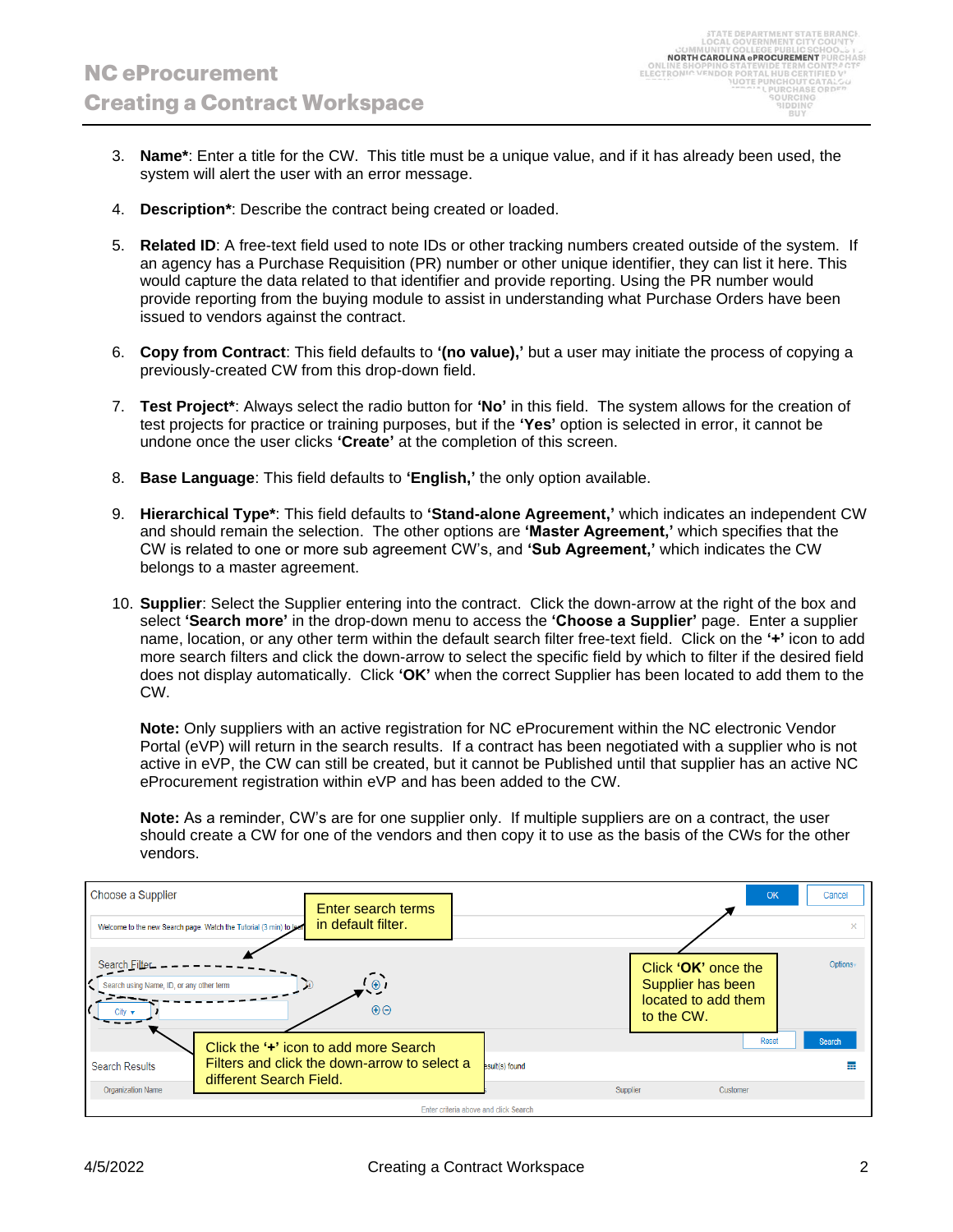- 3. **Name\***: Enter a title for the CW. This title must be a unique value, and if it has already been used, the system will alert the user with an error message.
- 4. **Description\***: Describe the contract being created or loaded.
- 5. **Related ID**: A free-text field used to note IDs or other tracking numbers created outside of the system. If an agency has a Purchase Requisition (PR) number or other unique identifier, they can list it here. This would capture the data related to that identifier and provide reporting. Using the PR number would provide reporting from the buying module to assist in understanding what Purchase Orders have been issued to vendors against the contract.
- 6. **Copy from Contract**: This field defaults to **'(no value),'** but a user may initiate the process of copying a previously-created CW from this drop-down field.
- 7. **Test Project\***: Always select the radio button for **'No'** in this field. The system allows for the creation of test projects for practice or training purposes, but if the **'Yes'** option is selected in error, it cannot be undone once the user clicks **'Create'** at the completion of this screen.
- 8. **Base Language**: This field defaults to **'English,'** the only option available.
- 9. **Hierarchical Type\***: This field defaults to **'Stand-alone Agreement,'** which indicates an independent CW and should remain the selection. The other options are **'Master Agreement,'** which specifies that the CW is related to one or more sub agreement CW's, and **'Sub Agreement,'** which indicates the CW belongs to a master agreement.
- 10. **Supplier**: Select the Supplier entering into the contract. Click the down-arrow at the right of the box and select **'Search more'** in the drop-down menu to access the **'Choose a Supplier'** page. Enter a supplier name, location, or any other term within the default search filter free-text field. Click on the **'+'** icon to add more search filters and click the down-arrow to select the specific field by which to filter if the desired field does not display automatically. Click **'OK'** when the correct Supplier has been located to add them to the CW.

**Note:** Only suppliers with an active registration for NC eProcurement within the NC electronic Vendor Portal (eVP) will return in the search results. If a contract has been negotiated with a supplier who is not active in eVP, the CW can still be created, but it cannot be Published until that supplier has an active NC eProcurement registration within eVP and has been added to the CW.

**Note:** As a reminder, CW's are for one supplier only. If multiple suppliers are on a contract, the user should create a CW for one of the vendors and then copy it to use as the basis of the CWs for the other vendors.

| Choose a Supplier<br>Welcome to the new Search page. Watch the Tutorial (3 min) to lear |                                                    | Enter search terms<br>in default filter. |                                       |          | OK                                                                            | Cancel<br>$\mathbf x$ |
|-----------------------------------------------------------------------------------------|----------------------------------------------------|------------------------------------------|---------------------------------------|----------|-------------------------------------------------------------------------------|-----------------------|
| Search Filter<br>Search using Name, ID, or any other term                               |                                                    | $\odot$<br>$\Theta$                      |                                       |          | Click 'OK' once the<br>Supplier has been<br>located to add them<br>to the CW. | Options               |
|                                                                                         | Click the ' <sup>+</sup> ' icon to add more Search |                                          |                                       |          | <b>Reset</b>                                                                  | <b>Search</b>         |
| <b>Search Results</b>                                                                   | Filters and click the down-arrow to select a       |                                          | esult(s) found                        |          |                                                                               |                       |
| <b>Organization Name</b>                                                                | different Search Field.                            |                                          |                                       | Supplier | Customer                                                                      |                       |
|                                                                                         |                                                    |                                          | Enter criteria above and click Search |          |                                                                               |                       |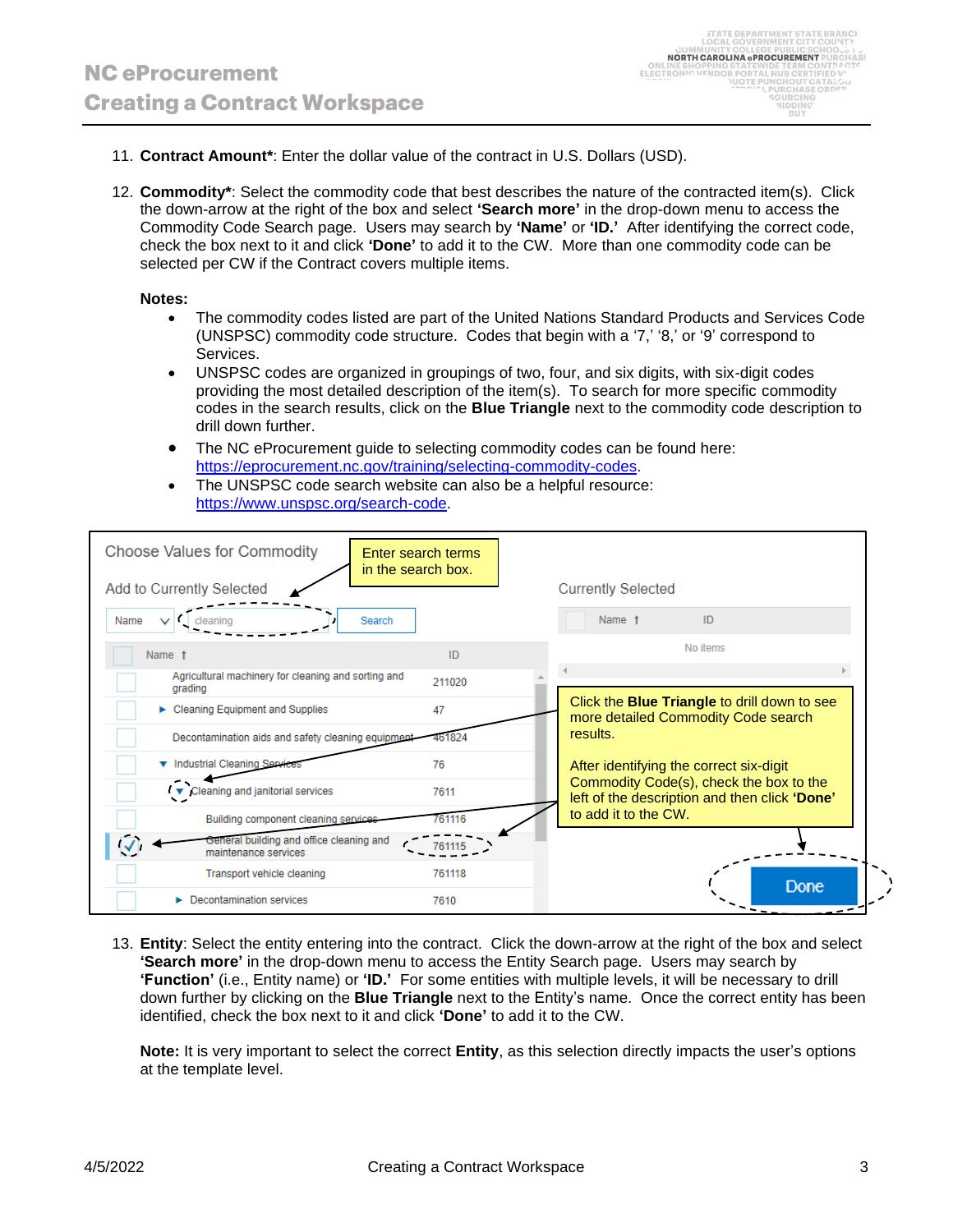- 11. **Contract Amount\***: Enter the dollar value of the contract in U.S. Dollars (USD).
- 12. **Commodity\***: Select the commodity code that best describes the nature of the contracted item(s). Click the down-arrow at the right of the box and select **'Search more'** in the drop-down menu to access the Commodity Code Search page. Users may search by **'Name'** or **'ID.'** After identifying the correct code, check the box next to it and click **'Done'** to add it to the CW. More than one commodity code can be selected per CW if the Contract covers multiple items.

#### **Notes:**

- The commodity codes listed are part of the United Nations Standard Products and Services Code (UNSPSC) commodity code structure. Codes that begin with a '7,' '8,' or '9' correspond to Services.
- UNSPSC codes are organized in groupings of two, four, and six digits, with six-digit codes providing the most detailed description of the item(s). To search for more specific commodity codes in the search results, click on the **Blue Triangle** next to the commodity code description to drill down further.
- The NC eProcurement guide to selecting commodity codes can be found here: [https://eprocurement.nc.gov/training/selecting-commodity-codes.](https://eprocurement.nc.gov/training/selecting-commodity-codes)
- The UNSPSC code search website can also be a helpful resource: [https://www.unspsc.org/search-code.](https://www.unspsc.org/search-code)

| <b>Choose Values for Commodity</b><br>in the search box.         | Enter search terms                                                                               |                                                                                          |  |  |
|------------------------------------------------------------------|--------------------------------------------------------------------------------------------------|------------------------------------------------------------------------------------------|--|--|
| Add to Currently Selected                                        |                                                                                                  | <b>Currently Selected</b>                                                                |  |  |
| Search<br>Name<br>VL.                                            |                                                                                                  | Name t<br>ID                                                                             |  |  |
| Name t                                                           | ID                                                                                               | No items                                                                                 |  |  |
| Agricultural machinery for cleaning and sorting and<br>grading   | 211020                                                                                           |                                                                                          |  |  |
| $\triangleright$ Cleaning Equipment and Supplies                 | Click the <b>Blue Triangle</b> to drill down to see<br>47<br>more detailed Commodity Code search |                                                                                          |  |  |
| Decontamination aids and safety cleaning equipment               | 461824                                                                                           | results.                                                                                 |  |  |
| ▼ Industrial Cleaning Servi                                      | 76                                                                                               | After identifying the correct six-digit                                                  |  |  |
| $\sqrt{\bullet}$ Cleaning and janitorial services                | 7611                                                                                             | Commodity Code(s), check the box to the<br>left of the description and then click 'Done' |  |  |
| Building component cleaning services                             | 761116                                                                                           | to add it to the CW.                                                                     |  |  |
| General building and office cleaning and<br>maintenance services |                                                                                                  |                                                                                          |  |  |
| Transport vehicle cleaning                                       | 761118                                                                                           | <b>Done</b>                                                                              |  |  |
| Decontamination services                                         | 7610                                                                                             |                                                                                          |  |  |

13. **Entity**: Select the entity entering into the contract. Click the down-arrow at the right of the box and select **'Search more'** in the drop-down menu to access the Entity Search page. Users may search by **'Function'** (i.e., Entity name) or **'ID.'** For some entities with multiple levels, it will be necessary to drill down further by clicking on the **Blue Triangle** next to the Entity's name. Once the correct entity has been identified, check the box next to it and click **'Done'** to add it to the CW.

**Note:** It is very important to select the correct **Entity**, as this selection directly impacts the user's options at the template level.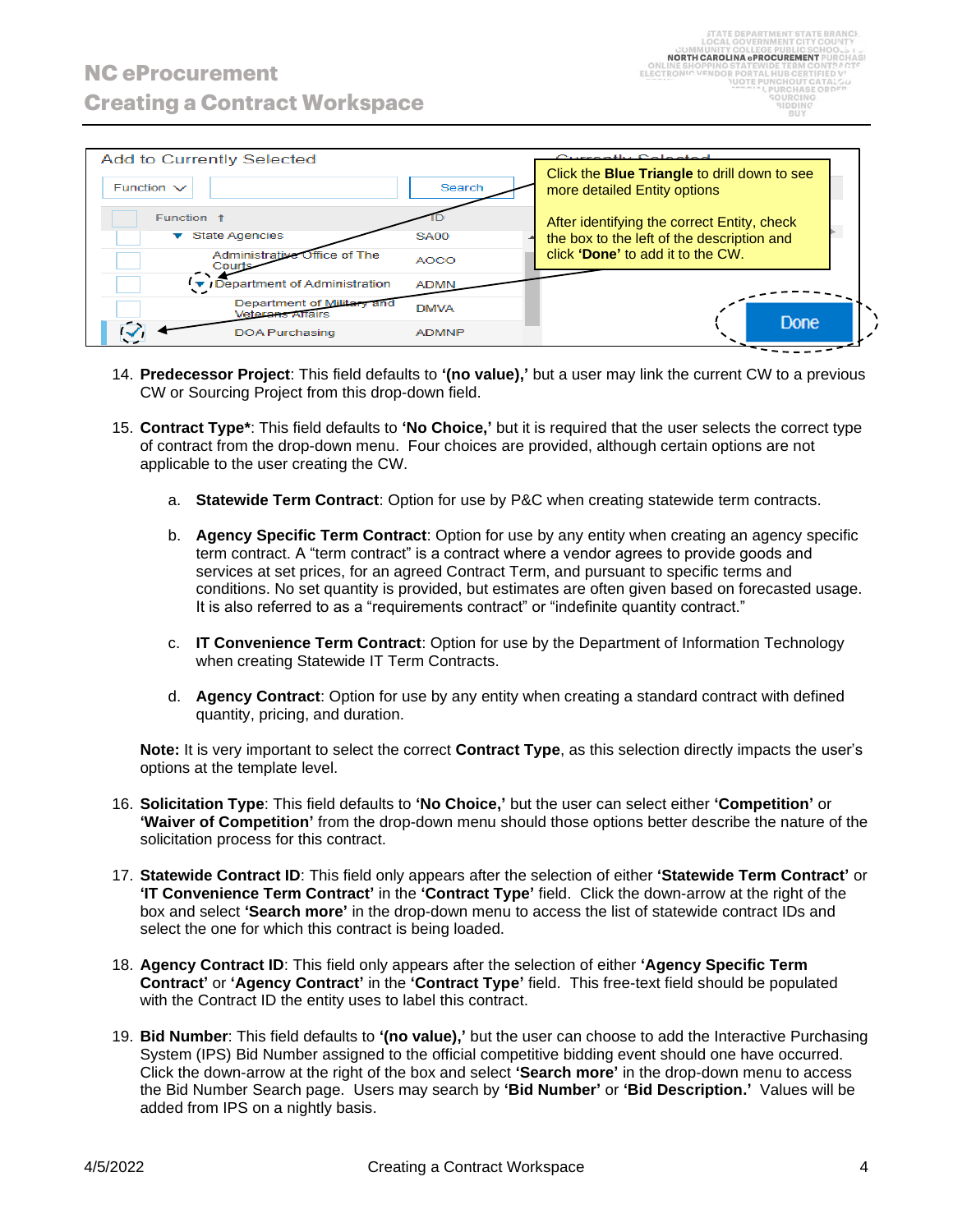| <b>Add to Currently Selected</b>               |              | Currantly Coloctod                                                                  |
|------------------------------------------------|--------------|-------------------------------------------------------------------------------------|
| Function $\vee$                                | Search       | Click the <b>Blue Triangle</b> to drill down to see<br>more detailed Entity options |
| Function <sub>t</sub>                          |              | After identifying the correct Entity, check                                         |
| <b>State Agencies</b>                          | <b>SA00</b>  | the box to the left of the description and                                          |
| Administrative Office of The<br>Courts         | <b>AOCO</b>  | click 'Done' to add it to the CW.                                                   |
| Department of Administration                   | <b>ADMN</b>  |                                                                                     |
| Department of Military and<br>Veterans Affairs | <b>DMVA</b>  |                                                                                     |
| <b>DOA Purchasing</b>                          | <b>ADMNP</b> | Done                                                                                |

- 14. **Predecessor Project**: This field defaults to **'(no value),'** but a user may link the current CW to a previous CW or Sourcing Project from this drop-down field.
- 15. **Contract Type\***: This field defaults to **'No Choice,'** but it is required that the user selects the correct type of contract from the drop-down menu. Four choices are provided, although certain options are not applicable to the user creating the CW.
	- a. **Statewide Term Contract**: Option for use by P&C when creating statewide term contracts.
	- b. **Agency Specific Term Contract**: Option for use by any entity when creating an agency specific term contract. A "term contract" is a contract where a vendor agrees to provide goods and services at set prices, for an agreed Contract Term, and pursuant to specific terms and conditions. No set quantity is provided, but estimates are often given based on forecasted usage. It is also referred to as a "requirements contract" or "indefinite quantity contract."
	- c. **IT Convenience Term Contract**: Option for use by the Department of Information Technology when creating Statewide IT Term Contracts.
	- d. **Agency Contract**: Option for use by any entity when creating a standard contract with defined quantity, pricing, and duration.

**Note:** It is very important to select the correct **Contract Type**, as this selection directly impacts the user's options at the template level.

- 16. **Solicitation Type**: This field defaults to **'No Choice,'** but the user can select either **'Competition'** or **'Waiver of Competition'** from the drop-down menu should those options better describe the nature of the solicitation process for this contract.
- 17. **Statewide Contract ID**: This field only appears after the selection of either **'Statewide Term Contract'** or **'IT Convenience Term Contract'** in the **'Contract Type'** field. Click the down-arrow at the right of the box and select **'Search more'** in the drop-down menu to access the list of statewide contract IDs and select the one for which this contract is being loaded.
- 18. **Agency Contract ID**: This field only appears after the selection of either **'Agency Specific Term Contract'** or **'Agency Contract'** in the **'Contract Type'** field. This free-text field should be populated with the Contract ID the entity uses to label this contract.
- 19. **Bid Number**: This field defaults to **'(no value),'** but the user can choose to add the Interactive Purchasing System (IPS) Bid Number assigned to the official competitive bidding event should one have occurred. Click the down-arrow at the right of the box and select **'Search more'** in the drop-down menu to access the Bid Number Search page. Users may search by **'Bid Number'** or **'Bid Description.'** Values will be added from IPS on a nightly basis.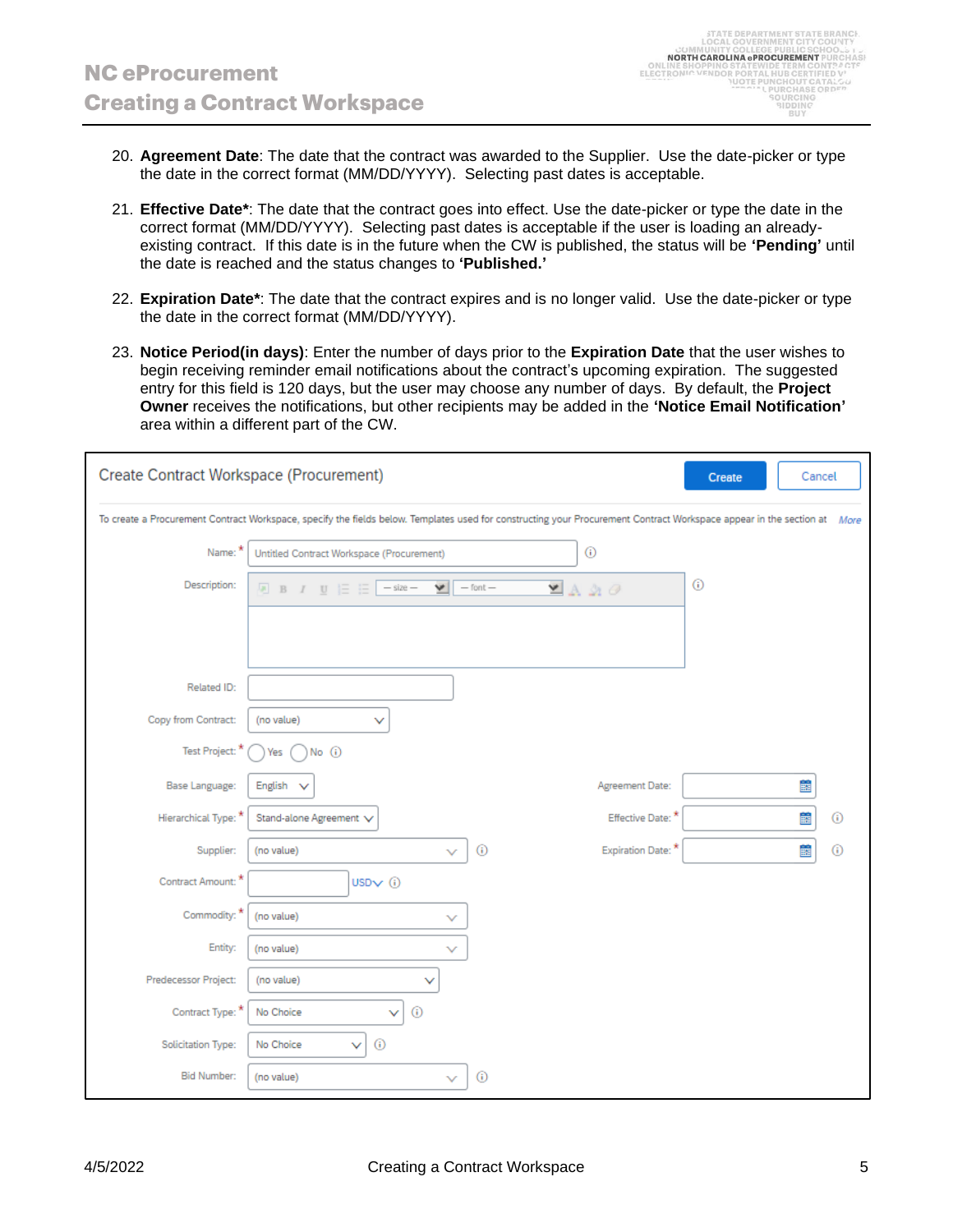- 20. **Agreement Date**: The date that the contract was awarded to the Supplier. Use the date-picker or type the date in the correct format (MM/DD/YYYY). Selecting past dates is acceptable.
- 21. **Effective Date\***: The date that the contract goes into effect. Use the date-picker or type the date in the correct format (MM/DD/YYYY). Selecting past dates is acceptable if the user is loading an alreadyexisting contract. If this date is in the future when the CW is published, the status will be **'Pending'** until the date is reached and the status changes to **'Published.'**
- 22. **Expiration Date\***: The date that the contract expires and is no longer valid. Use the date-picker or type the date in the correct format (MM/DD/YYYY).
- 23. **Notice Period(in days)**: Enter the number of days prior to the **Expiration Date** that the user wishes to begin receiving reminder email notifications about the contract's upcoming expiration. The suggested entry for this field is 120 days, but the user may choose any number of days. By default, the **Project Owner** receives the notifications, but other recipients may be added in the **'Notice Email Notification'** area within a different part of the CW.

| <b>Create Contract Workspace (Procurement)</b> | Create                                                                                                                                                                  | Cancel       |                                   |   |   |         |
|------------------------------------------------|-------------------------------------------------------------------------------------------------------------------------------------------------------------------------|--------------|-----------------------------------|---|---|---------|
|                                                | To create a Procurement Contract Workspace, specify the fields below. Templates used for constructing your Procurement Contract Workspace appear in the section at More |              |                                   |   |   |         |
| Name: *                                        | Untitled Contract Workspace (Procurement)                                                                                                                               |              | $\odot$                           |   |   |         |
| Description:                                   | ៴∥<br>$-$ size $-$                                                                                                                                                      | $-$ font $-$ | $\blacksquare$ A 21 $\varnothing$ | ⊙ |   |         |
|                                                |                                                                                                                                                                         |              |                                   |   |   |         |
|                                                |                                                                                                                                                                         |              |                                   |   |   |         |
| Related ID:                                    |                                                                                                                                                                         |              |                                   |   |   |         |
| Copy from Contract:                            | (no value)<br>v                                                                                                                                                         |              |                                   |   |   |         |
| Test Project: *                                | No ①<br>Yes                                                                                                                                                             |              |                                   |   |   |         |
| Base Language:                                 | English<br>$\checkmark$                                                                                                                                                 |              | Agreement Date:                   |   | 簂 |         |
| Hierarchical Type: *                           | Stand-alone Agreement V                                                                                                                                                 |              | Effective Date: *                 |   | 鬛 | (i)     |
| Supplier:                                      | (no value)<br>v                                                                                                                                                         | $^\circledR$ | Expiration Date:                  |   | 簂 | $\circ$ |
| Contract Amount: *                             | USD $\vee$ (i)                                                                                                                                                          |              |                                   |   |   |         |
| Commodity: *                                   | (no value)<br>$\checkmark$                                                                                                                                              |              |                                   |   |   |         |
| Entity:                                        | (no value)<br>$\checkmark$                                                                                                                                              |              |                                   |   |   |         |
| Predecessor Project:                           | (no value)<br>v                                                                                                                                                         |              |                                   |   |   |         |
| Contract Type: *                               | $\odot$<br>No Choice<br>v                                                                                                                                               |              |                                   |   |   |         |
| Solicitation Type:                             | $\odot$<br>No Choice<br>v                                                                                                                                               |              |                                   |   |   |         |
| <b>Bid Number:</b>                             | (no value)<br>$\checkmark$                                                                                                                                              | $\odot$      |                                   |   |   |         |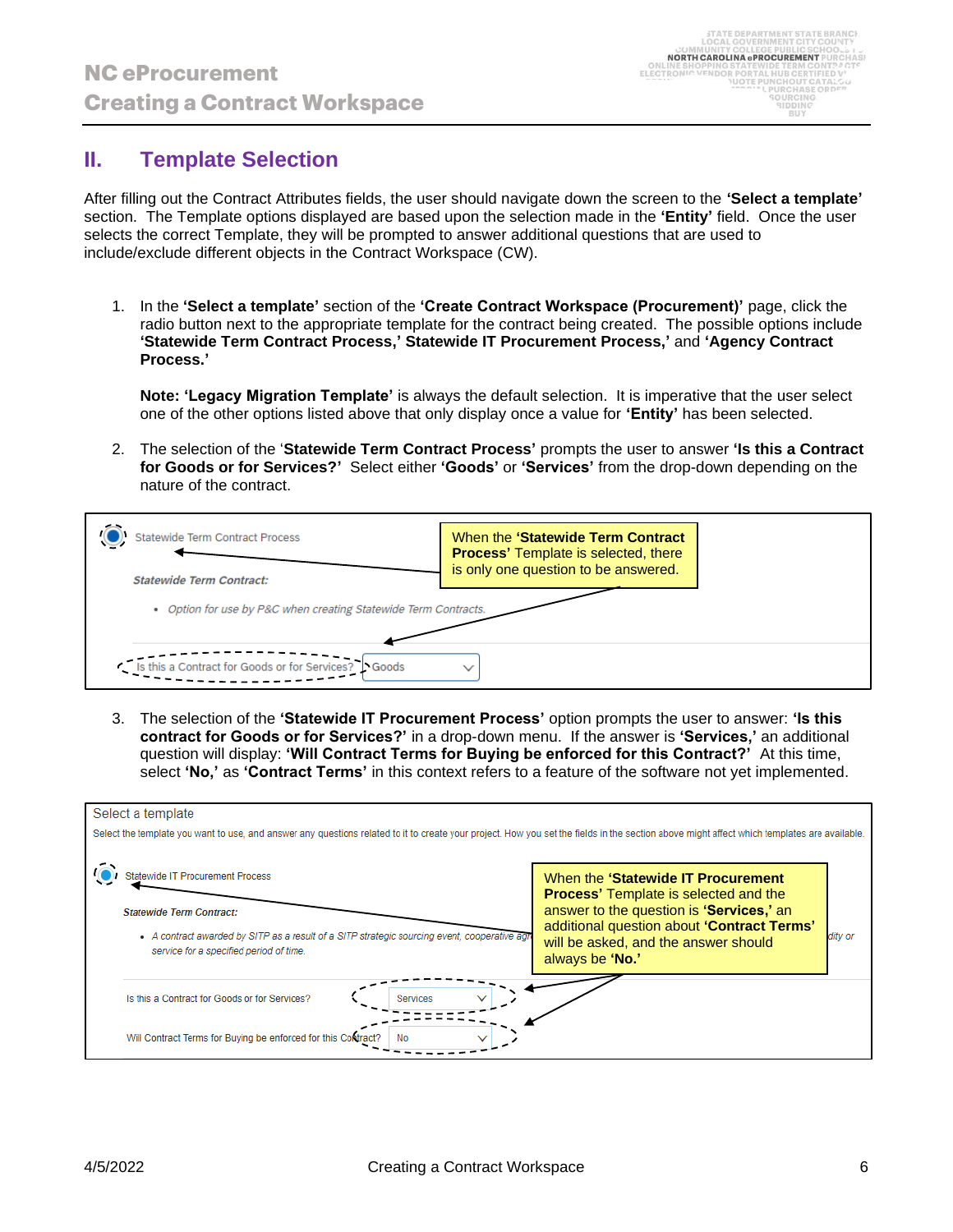### **II. Template Selection**

After filling out the Contract Attributes fields, the user should navigate down the screen to the **'Select a template'** section. The Template options displayed are based upon the selection made in the **'Entity'** field. Once the user selects the correct Template, they will be prompted to answer additional questions that are used to include/exclude different objects in the Contract Workspace (CW).

1. In the **'Select a template'** section of the **'Create Contract Workspace (Procurement)'** page, click the radio button next to the appropriate template for the contract being created. The possible options include **'Statewide Term Contract Process,' Statewide IT Procurement Process,'** and **'Agency Contract Process.'**

**Note: 'Legacy Migration Template'** is always the default selection. It is imperative that the user select one of the other options listed above that only display once a value for **'Entity'** has been selected.

2. The selection of the '**Statewide Term Contract Process'** prompts the user to answer **'Is this a Contract for Goods or for Services?'** Select either **'Goods'** or **'Services'** from the drop-down depending on the nature of the contract.



3. The selection of the **'Statewide IT Procurement Process'** option prompts the user to answer: **'Is this contract for Goods or for Services?'** in a drop-down menu. If the answer is **'Services,'** an additional question will display: **'Will Contract Terms for Buying be enforced for this Contract?'** At this time, select **'No,'** as **'Contract Terms'** in this context refers to a feature of the software not yet implemented.

| Select a template                                                                                                                                                                                                       |                                                                                                                                                                                                                                         |         |
|-------------------------------------------------------------------------------------------------------------------------------------------------------------------------------------------------------------------------|-----------------------------------------------------------------------------------------------------------------------------------------------------------------------------------------------------------------------------------------|---------|
| Select the template you want to use, and answer any questions related to it to create your project. How you set the fields in the section above might affect which templates are available.                             |                                                                                                                                                                                                                                         |         |
| <b>Statewide IT Procurement Process</b><br><b>Statewide Term Contract:</b><br>• A contract awarded by SITP as a result of a SITP strategic sourcing event, cooperative agree<br>service for a specified period of time. | When the 'Statewide IT Procurement<br><b>Process' Template is selected and the</b><br>answer to the question is 'Services,' an<br>additional question about 'Contract Terms'<br>will be asked, and the answer should<br>always be 'No.' | ditv or |
| Is this a Contract for Goods or for Services?<br>Services                                                                                                                                                               |                                                                                                                                                                                                                                         |         |
| Will Contract Terms for Buying be enforced for this Contract?<br><b>No</b>                                                                                                                                              |                                                                                                                                                                                                                                         |         |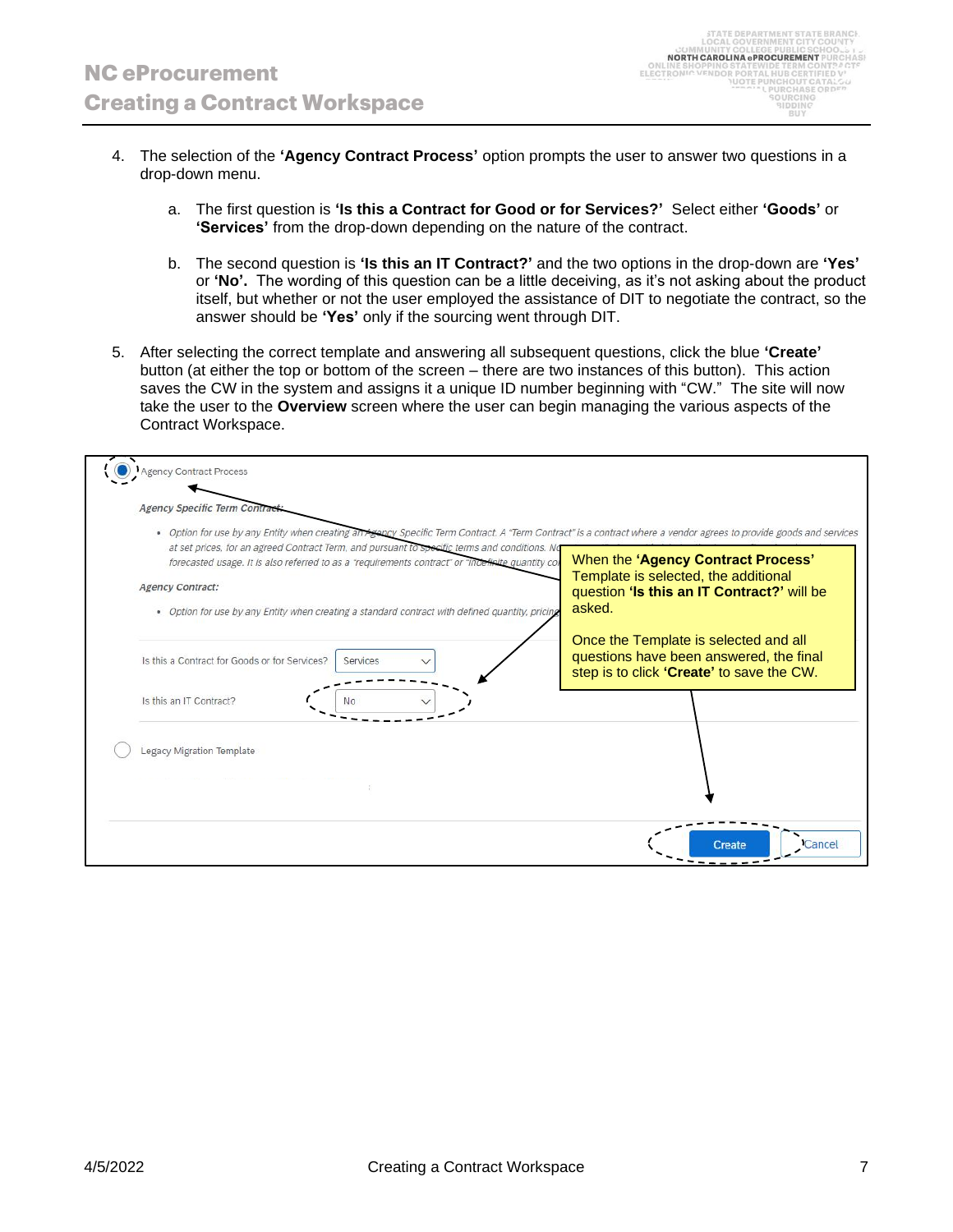- 4. The selection of the **'Agency Contract Process'** option prompts the user to answer two questions in a drop-down menu.
	- a. The first question is **'Is this a Contract for Good or for Services?'** Select either **'Goods'** or **'Services'** from the drop-down depending on the nature of the contract.
	- b. The second question is **'Is this an IT Contract?'** and the two options in the drop-down are **'Yes'** or **'No'.** The wording of this question can be a little deceiving, as it's not asking about the product itself, but whether or not the user employed the assistance of DIT to negotiate the contract, so the answer should be **'Yes'** only if the sourcing went through DIT.
- 5. After selecting the correct template and answering all subsequent questions, click the blue **'Create'** button (at either the top or bottom of the screen – there are two instances of this button). This action saves the CW in the system and assigns it a unique ID number beginning with "CW." The site will now take the user to the **Overview** screen where the user can begin managing the various aspects of the Contract Workspace.

| Agency Contract Process<br><b>Agency Specific Term Contract</b>                                                                                                                                                                                                                                                                                                                                                                                                                                        |                                                                                                                                    |
|--------------------------------------------------------------------------------------------------------------------------------------------------------------------------------------------------------------------------------------------------------------------------------------------------------------------------------------------------------------------------------------------------------------------------------------------------------------------------------------------------------|------------------------------------------------------------------------------------------------------------------------------------|
| . Option for use by any Entity when creating an Agency Specific Term Contract. A "Term Contract" is a contract where a vendor agrees to provide goods and services<br>at set prices, for an agreed Contract Term, and pursuant to specific terms and conditions. No<br>forecasted usage. It is also referred to as a "requirements contract" or "indefinite quantity cor<br><b>Agency Contract:</b><br>. Option for use by any Entity when creating a standard contract with defined quantity, pricing | When the 'Agency Contract Process'<br>Template is selected, the additional<br>question 'Is this an IT Contract?' will be<br>asked. |
| Is this a Contract for Goods or for Services?<br>Services                                                                                                                                                                                                                                                                                                                                                                                                                                              | Once the Template is selected and all<br>questions have been answered, the final<br>step is to click 'Create' to save the CW.      |
| Is this an IT Contract?<br>Nο                                                                                                                                                                                                                                                                                                                                                                                                                                                                          |                                                                                                                                    |
| Legacy Migration Template                                                                                                                                                                                                                                                                                                                                                                                                                                                                              |                                                                                                                                    |
|                                                                                                                                                                                                                                                                                                                                                                                                                                                                                                        | Cancel<br>Create                                                                                                                   |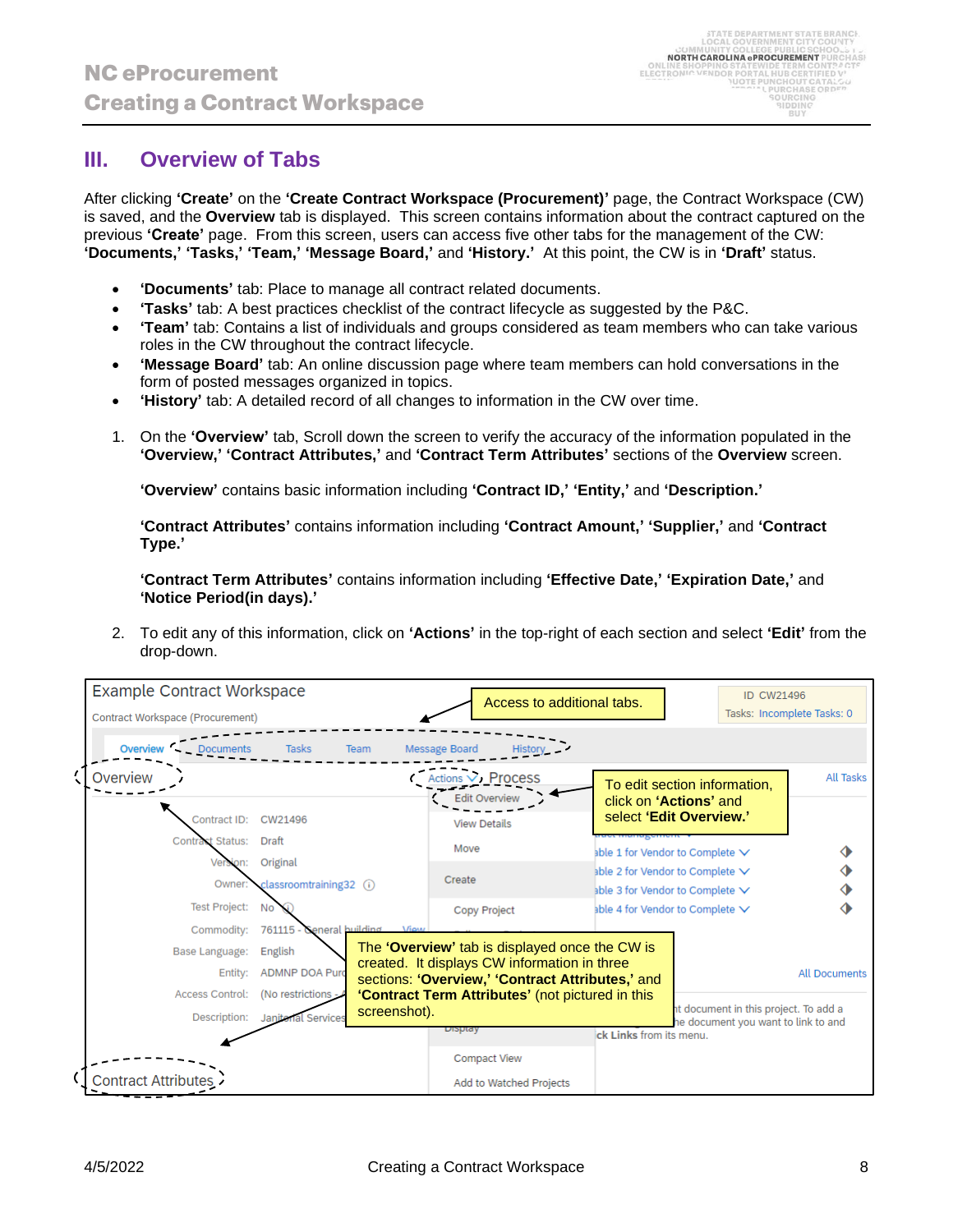### **III. Overview of Tabs**

After clicking **'Create'** on the **'Create Contract Workspace (Procurement)'** page, the Contract Workspace (CW) is saved, and the **Overview** tab is displayed. This screen contains information about the contract captured on the previous **'Create'** page. From this screen, users can access five other tabs for the management of the CW: **'Documents,' 'Tasks,' 'Team,' 'Message Board,'** and **'History.'** At this point, the CW is in **'Draft'** status.

- **'Documents'** tab: Place to manage all contract related documents.
- **'Tasks'** tab: A best practices checklist of the contract lifecycle as suggested by the P&C.
- **'Team'** tab: Contains a list of individuals and groups considered as team members who can take various roles in the CW throughout the contract lifecycle.
- **'Message Board'** tab: An online discussion page where team members can hold conversations in the form of posted messages organized in topics.
- **'History'** tab: A detailed record of all changes to information in the CW over time.
- 1. On the **'Overview'** tab, Scroll down the screen to verify the accuracy of the information populated in the **'Overview,' 'Contract Attributes,'** and **'Contract Term Attributes'** sections of the **Overview** screen.

**'Overview'** contains basic information including **'Contract ID,' 'Entity,'** and **'Description.'**

**'Contract Attributes'** contains information including **'Contract Amount,' 'Supplier,'** and **'Contract Type.'**

**'Contract Term Attributes'** contains information including **'Effective Date,' 'Expiration Date,'** and **'Notice Period(in days).'**

2. To edit any of this information, click on **'Actions'** in the top-right of each section and select **'Edit'** from the drop-down.

| <b>Example Contract Workspace</b> |                           |                           | Access to additional tabs.                                                                       |                                                   | <b>ID CW21496</b>                                                            |                      |
|-----------------------------------|---------------------------|---------------------------|--------------------------------------------------------------------------------------------------|---------------------------------------------------|------------------------------------------------------------------------------|----------------------|
| Contract Workspace (Procurement)  |                           |                           |                                                                                                  |                                                   | Tasks: Incomplete Tasks: 0                                                   |                      |
| Overview<br><b>Documents</b>      | <b>Tasks</b><br>Team      | Message Board             | Histor                                                                                           |                                                   |                                                                              |                      |
| Overview                          |                           |                           | Actions V Process<br><b>Edit Overview</b>                                                        |                                                   | To edit section information,                                                 | <b>All Tasks</b>     |
| Contract ID: CW21496              |                           |                           | <b>View Details</b>                                                                              | click on 'Actions' and<br>select 'Edit Overview.' |                                                                              |                      |
| Contract Status: Draft            |                           | Move                      |                                                                                                  | able 1 for Vendor to Complete $\vee$              |                                                                              |                      |
| Version:                          | Original                  | Create                    |                                                                                                  | able 2 for Vendor to Complete $\vee$              |                                                                              |                      |
| Owner:                            | classroomtraining32 (i)   |                           |                                                                                                  | able 3 for Vendor to Complete $\vee$              |                                                                              |                      |
| <b>Test Project:</b>              | No                        |                           | Copy Project                                                                                     | able 4 for Vendor to Complete $\vee$              |                                                                              |                      |
| Commodity:                        | 761115 - General building | <b><i><u>Miew</u></i></b> |                                                                                                  |                                                   |                                                                              |                      |
| Base Language:                    | English                   |                           | The 'Overview' tab is displayed once the CW is                                                   |                                                   |                                                                              |                      |
| Entity:                           | <b>ADMNP DOA Purd</b>     |                           | created. It displays CW information in three<br>sections: 'Overview,' 'Contract Attributes,' and |                                                   |                                                                              | <b>All Documents</b> |
| <b>Access Control:</b>            | (No restrictions - /      |                           | 'Contract Term Attributes' (not pictured in this                                                 |                                                   |                                                                              |                      |
| Description:                      | Janitorial Services       | screenshot).<br>Dioptay   |                                                                                                  | ick Links from its menu.                          | it document in this project. To add a<br>he document you want to link to and |                      |
|                                   |                           |                           | <b>Compact View</b>                                                                              |                                                   |                                                                              |                      |
| <b>Contract Attributes</b>        |                           |                           | Add to Watched Projects                                                                          |                                                   |                                                                              |                      |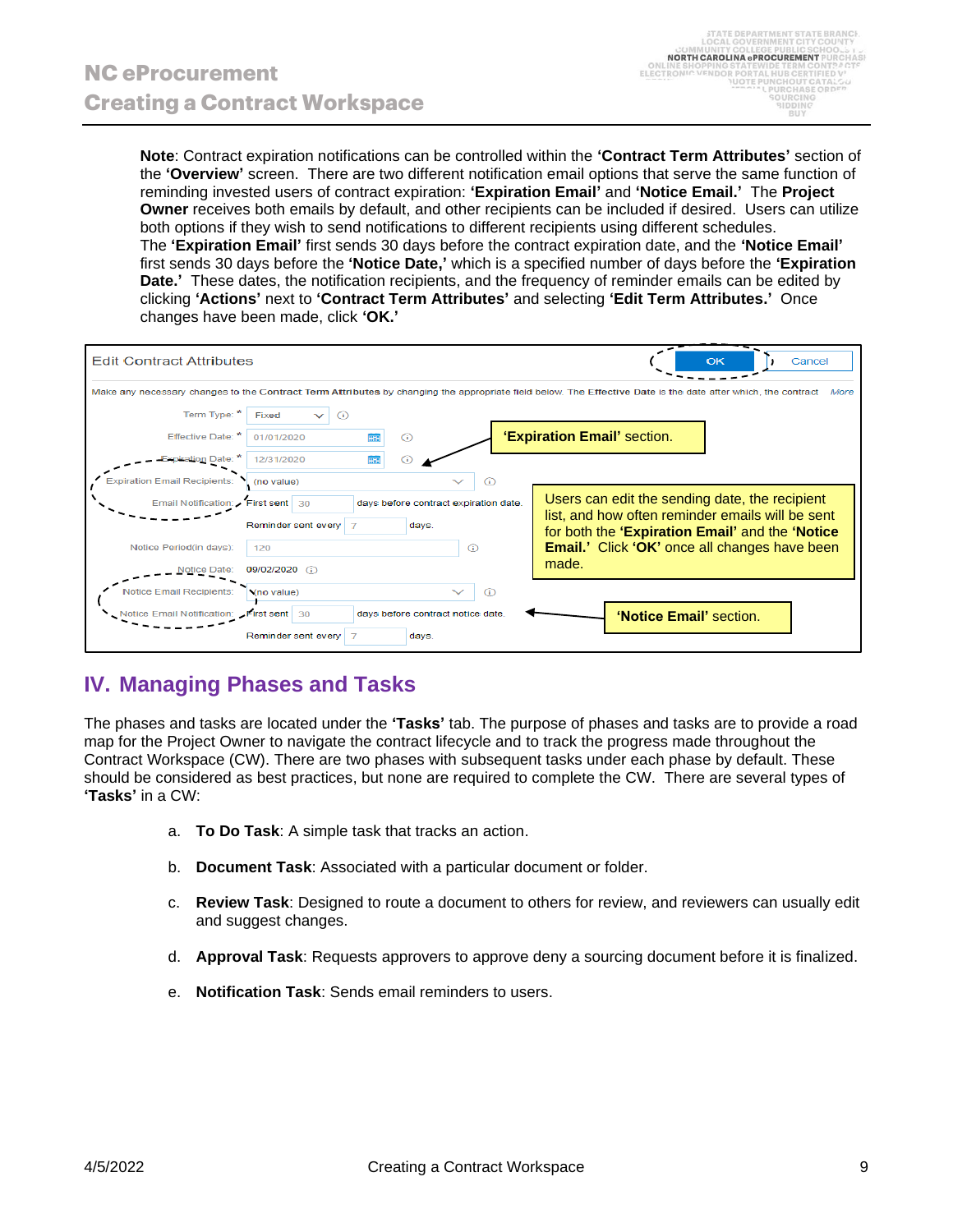**Note**: Contract expiration notifications can be controlled within the **'Contract Term Attributes'** section of the **'Overview'** screen. There are two different notification email options that serve the same function of reminding invested users of contract expiration: **'Expiration Email'** and **'Notice Email.'** The **Project Owner** receives both emails by default, and other recipients can be included if desired. Users can utilize both options if they wish to send notifications to different recipients using different schedules. The **'Expiration Email'** first sends 30 days before the contract expiration date, and the **'Notice Email'** first sends 30 days before the **'Notice Date,'** which is a specified number of days before the **'Expiration Date.'** These dates, the notification recipients, and the frequency of reminder emails can be edited by clicking **'Actions'** next to **'Contract Term Attributes'** and selecting **'Edit Term Attributes.'** Once changes have been made, click **'OK.'**



# **IV. Managing Phases and Tasks**

The phases and tasks are located under the **'Tasks'** tab. The purpose of phases and tasks are to provide a road map for the Project Owner to navigate the contract lifecycle and to track the progress made throughout the Contract Workspace (CW). There are two phases with subsequent tasks under each phase by default. These should be considered as best practices, but none are required to complete the CW. There are several types of **'Tasks'** in a CW:

- a. **To Do Task**: A simple task that tracks an action.
- b. **Document Task**: Associated with a particular document or folder.
- c. **Review Task**: Designed to route a document to others for review, and reviewers can usually edit and suggest changes.
- d. **Approval Task**: Requests approvers to approve deny a sourcing document before it is finalized.
- e. **Notification Task**: Sends email reminders to users.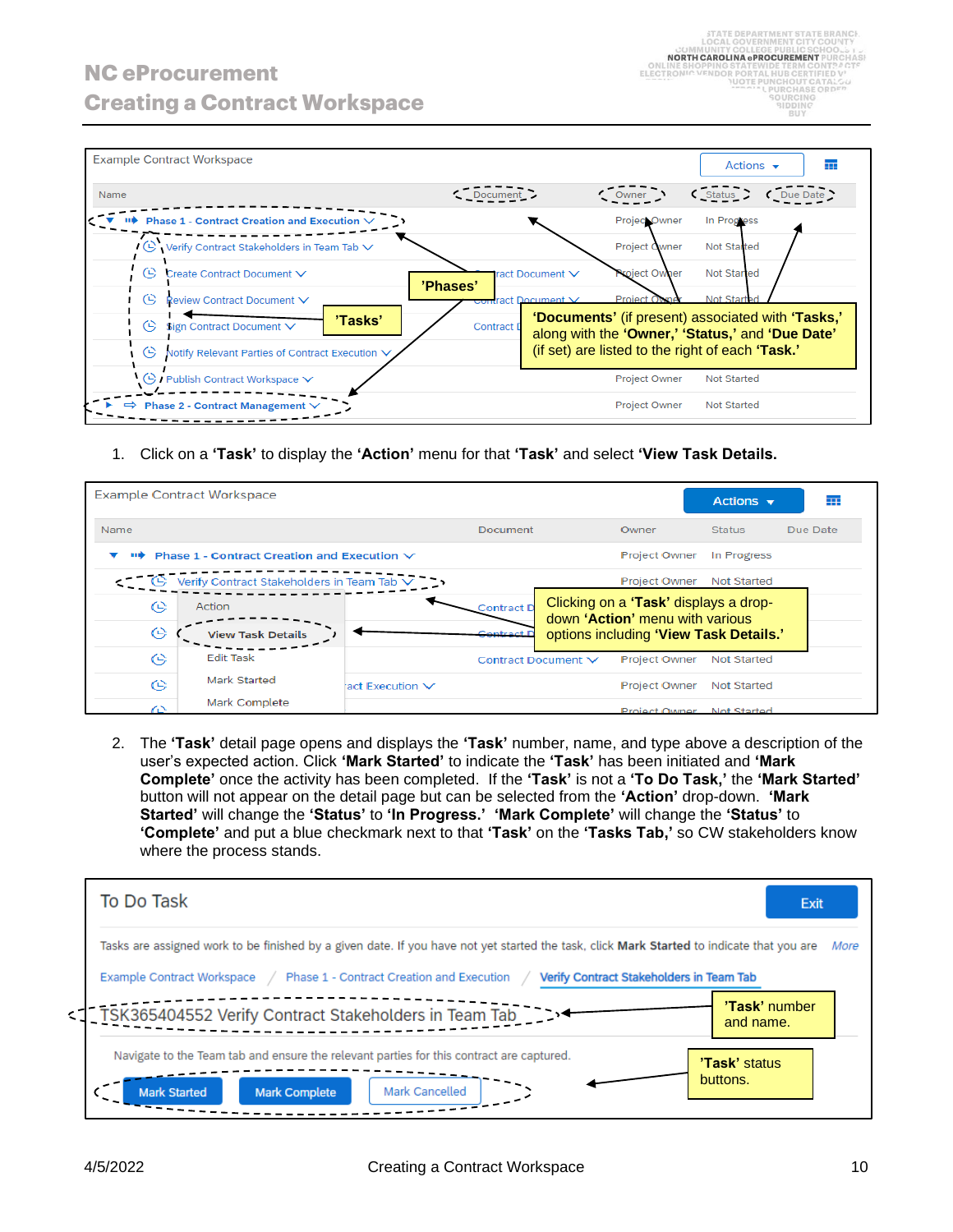

1. Click on a **'Task'** to display the **'Action'** menu for that **'Task'** and select **'View Task Details.**

|      | <b>Example Contract Workspace</b>                                  |                      |                     |                                                                          | Actions $\mathbf{\mathbf{v}}$ | ┳        |
|------|--------------------------------------------------------------------|----------------------|---------------------|--------------------------------------------------------------------------|-------------------------------|----------|
| Name |                                                                    |                      | <b>Document</b>     | Owner                                                                    | <b>Status</b>                 | Due Date |
| пв   | <b>Phase 1 - Contract Creation and Execution <math>\vee</math></b> |                      |                     | <b>Project Owner</b>                                                     | In Progress                   |          |
|      | Verify Contract Stakeholders in Team Tab V                         |                      |                     | <b>Project Owner</b>                                                     | <b>Not Started</b>            |          |
| (L)  | Action                                                             |                      | Contract D          | Clicking on a 'Task' displays a drop-<br>down 'Action' menu with various |                               |          |
| 0    | <b>View Task Details</b>                                           |                      | Contract E          | options including 'View Task Details.'                                   |                               |          |
| (L)  | <b>Edit Task</b>                                                   |                      | Contract Document V | <b>Project Owner</b>                                                     | Not Started                   |          |
| ങ    | <b>Mark Started</b>                                                | act Execution $\vee$ |                     | <b>Project Owner</b>                                                     | Not Started                   |          |
| ′≏   | Mark Complete                                                      |                      |                     | Project Owner                                                            | Not Started                   |          |

2. The **'Task'** detail page opens and displays the **'Task'** number, name, and type above a description of the user's expected action. Click **'Mark Started'** to indicate the **'Task'** has been initiated and **'Mark Complete'** once the activity has been completed. If the **'Task'** is not a **'To Do Task,'** the **'Mark Started'** button will not appear on the detail page but can be selected from the **'Action'** drop-down. **'Mark Started'** will change the **'Status'** to **'In Progress.' 'Mark Complete'** will change the **'Status'** to **'Complete'** and put a blue checkmark next to that **'Task'** on the **'Tasks Tab,'** so CW stakeholders know where the process stands.

| To Do Task<br>Exit                                                                                                                                                                     |      |
|----------------------------------------------------------------------------------------------------------------------------------------------------------------------------------------|------|
| Tasks are assigned work to be finished by a given date. If you have not yet started the task, click Mark Started to indicate that you are                                              | More |
| Phase 1 - Contract Creation and Execution<br>Verify Contract Stakeholders in Team Tab<br>Example Contract Workspace                                                                    |      |
| 'Task' number<br>< TSK365404552 Verify Contract Stakeholders in Team Tab<br>and name.                                                                                                  |      |
| Navigate to the Team tab and ensure the relevant parties for this contract are captured.<br>'Task' status<br>buttons.<br>Mark Cancelled<br><b>Mark Started</b><br><b>Mark Complete</b> |      |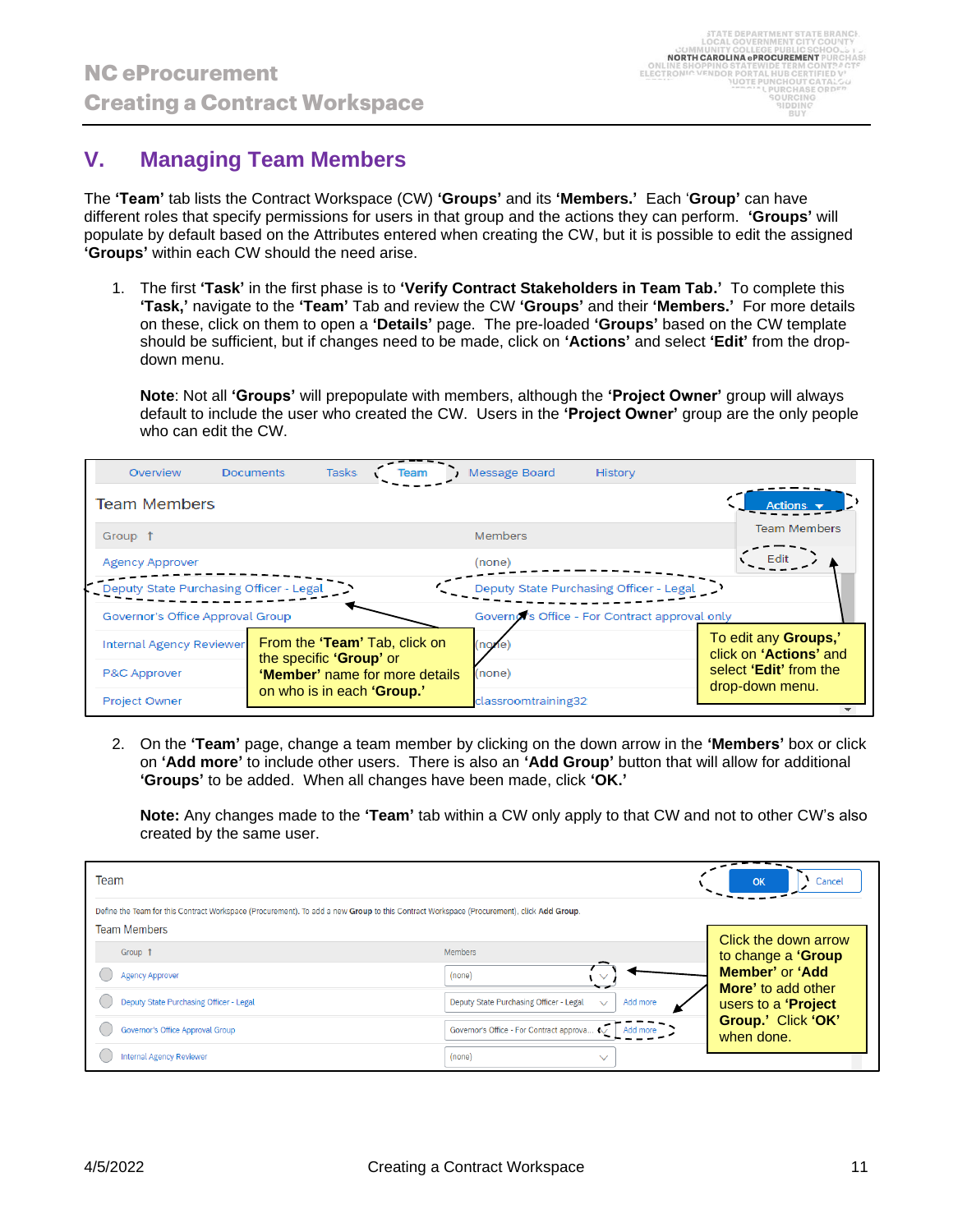#### **V. Managing Team Members**

The **'Team'** tab lists the Contract Workspace (CW) **'Groups'** and its **'Members.'** Each '**Group'** can have different roles that specify permissions for users in that group and the actions they can perform. **'Groups'** will populate by default based on the Attributes entered when creating the CW, but it is possible to edit the assigned **'Groups'** within each CW should the need arise.

1. The first **'Task'** in the first phase is to **'Verify Contract Stakeholders in Team Tab.'** To complete this **'Task,'** navigate to the **'Team'** Tab and review the CW **'Groups'** and their **'Members.'** For more details on these, click on them to open a **'Details'** page. The pre-loaded **'Groups'** based on the CW template should be sufficient, but if changes need to be made, click on **'Actions'** and select **'Edit'** from the dropdown menu.

**Note**: Not all **'Groups'** will prepopulate with members, although the **'Project Owner'** group will always default to include the user who created the CW. Users in the **'Project Owner'** group are the only people who can edit the CW.

| Overview                                                                  | <b>Documents</b>              | <b>Tasks</b> |  |                        | Message Board                                 | History                                 |                                                       |
|---------------------------------------------------------------------------|-------------------------------|--------------|--|------------------------|-----------------------------------------------|-----------------------------------------|-------------------------------------------------------|
| <b>Team Members</b>                                                       |                               |              |  |                        |                                               |                                         |                                                       |
| Group 1                                                                   |                               |              |  |                        | Members                                       |                                         | <b>Team Members</b>                                   |
| <b>Agency Approver</b>                                                    |                               |              |  |                        | (none)                                        |                                         |                                                       |
| Deputy State Purchasing Officer - Legal                                   |                               |              |  |                        |                                               | Deputy State Purchasing Officer - Legal |                                                       |
| Governor's Office Approval Group                                          |                               |              |  |                        | Governo's Office - For Contract approval only |                                         |                                                       |
| <b>Internal Agency Reviewer</b>                                           | From the 'Team' Tab, click on |              |  |                        | <b>Inone</b>                                  |                                         | To edit any <b>Groups,'</b><br>click on 'Actions' and |
| the specific 'Group' or<br>P&C Approver<br>'Member' name for more details |                               | (none)       |  | select 'Edit' from the |                                               |                                         |                                                       |
| <b>Project Owner</b>                                                      | on who is in each 'Group.'    |              |  |                        | classroomtraining32                           |                                         | drop-down menu.                                       |

2. On the **'Team'** page, change a team member by clicking on the down arrow in the **'Members'** box or click on **'Add more'** to include other users. There is also an **'Add Group'** button that will allow for additional **'Groups'** to be added. When all changes have been made, click **'OK.'**

**Note:** Any changes made to the **'Team'** tab within a CW only apply to that CW and not to other CW's also created by the same user.

| Team                                                                                                                                                            |                                                                                     | Cancel<br>OK                                                           |
|-----------------------------------------------------------------------------------------------------------------------------------------------------------------|-------------------------------------------------------------------------------------|------------------------------------------------------------------------|
| Define the Team for this Contract Workspace (Procurement). To add a new Group to this Contract Workspace (Procurement), click Add Group.<br><b>Team Members</b> |                                                                                     |                                                                        |
| Group 1<br><b>Agency Approver</b>                                                                                                                               | Members<br>(none)                                                                   | Click the down arrow<br>to change a 'Group<br>Member' or 'Add          |
| Deputy State Purchasing Officer - Legal                                                                                                                         | Deputy State Purchasing Officer - Legal<br>Add more<br>$\sqrt{}$                    | <b>More'</b> to add other<br>users to a 'Project<br>Group.' Click 'OK' |
| Governor's Office Approval Group<br><b>Internal Agency Reviewer</b>                                                                                             | Governor's Office - For Contract approva <<  <br>Add more<br>(none)<br>$\checkmark$ | when done.                                                             |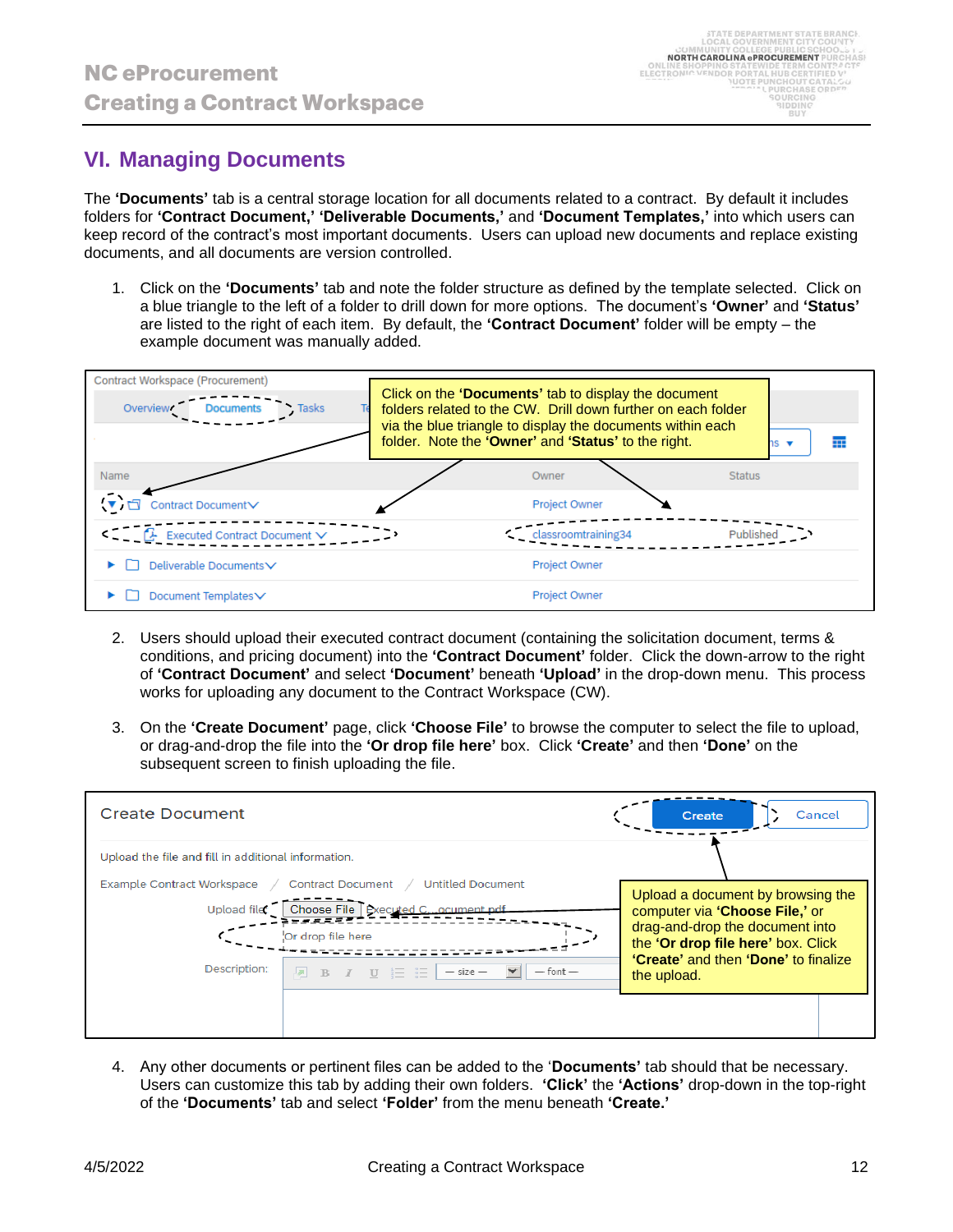# **VI. Managing Documents**

The **'Documents'** tab is a central storage location for all documents related to a contract. By default it includes folders for **'Contract Document,' 'Deliverable Documents,'** and **'Document Templates,'** into which users can keep record of the contract's most important documents. Users can upload new documents and replace existing documents, and all documents are version controlled.

1. Click on the **'Documents'** tab and note the folder structure as defined by the template selected. Click on a blue triangle to the left of a folder to drill down for more options. The document's **'Owner'** and **'Status'** are listed to the right of each item. By default, the **'Contract Document'** folder will be empty – the example document was manually added.

| Contract Workspace (Procurement)<br><b>Documents</b><br>Overview <sup>*</sup><br><b>Tasks</b> | Click on the 'Documents' tab to display the document<br>folders related to the CW. Drill down further on each folder<br>via the blue triangle to display the documents within each<br>folder. Note the 'Owner' and 'Status' to the right. | י ≳ו<br>₩            |               |
|-----------------------------------------------------------------------------------------------|-------------------------------------------------------------------------------------------------------------------------------------------------------------------------------------------------------------------------------------------|----------------------|---------------|
| Name                                                                                          |                                                                                                                                                                                                                                           | Owner                | <b>Status</b> |
| Contract DocumentV                                                                            |                                                                                                                                                                                                                                           | <b>Project Owner</b> |               |
| Executed Contract Document V                                                                  |                                                                                                                                                                                                                                           | classroomtraining34  | Publishe      |
| Deliverable Documents∨                                                                        |                                                                                                                                                                                                                                           | <b>Project Owner</b> |               |
| Document Templates∨                                                                           |                                                                                                                                                                                                                                           | <b>Project Owner</b> |               |

- 2. Users should upload their executed contract document (containing the solicitation document, terms & conditions, and pricing document) into the **'Contract Document'** folder. Click the down-arrow to the right of **'Contract Document'** and select **'Document'** beneath **'Upload'** in the drop-down menu. This process works for uploading any document to the Contract Workspace (CW).
- 3. On the **'Create Document'** page, click **'Choose File'** to browse the computer to select the file to upload, or drag-and-drop the file into the **'Or drop file here'** box. Click **'Create'** and then **'Done'** on the subsequent screen to finish uploading the file.

| <b>Create Document</b>                                                                                                                                                                                                                               | Cancel<br>Create                                                                                                                                                                                    |
|------------------------------------------------------------------------------------------------------------------------------------------------------------------------------------------------------------------------------------------------------|-----------------------------------------------------------------------------------------------------------------------------------------------------------------------------------------------------|
| Upload the file and fill in additional information.                                                                                                                                                                                                  |                                                                                                                                                                                                     |
| Example Contract Workspace / Contract Document /<br><b>Untitled Document</b><br>Choose File   Executed Cocument.pdf<br>Upload file:<br>Or drop file here<br>Description:<br>$\overline{M}$ B $I$ U $\equiv$ $\equiv$<br>$-$ size $-$<br>$-$ font $-$ | Upload a document by browsing the<br>computer via 'Choose File,' or<br>drag-and-drop the document into<br>the 'Or drop file here' box. Click<br>"Create" and then "Done" to finalize<br>the upload. |
|                                                                                                                                                                                                                                                      |                                                                                                                                                                                                     |

4. Any other documents or pertinent files can be added to the '**Documents'** tab should that be necessary. Users can customize this tab by adding their own folders. **'Click'** the **'Actions'** drop-down in the top-right of the **'Documents'** tab and select **'Folder'** from the menu beneath **'Create.'**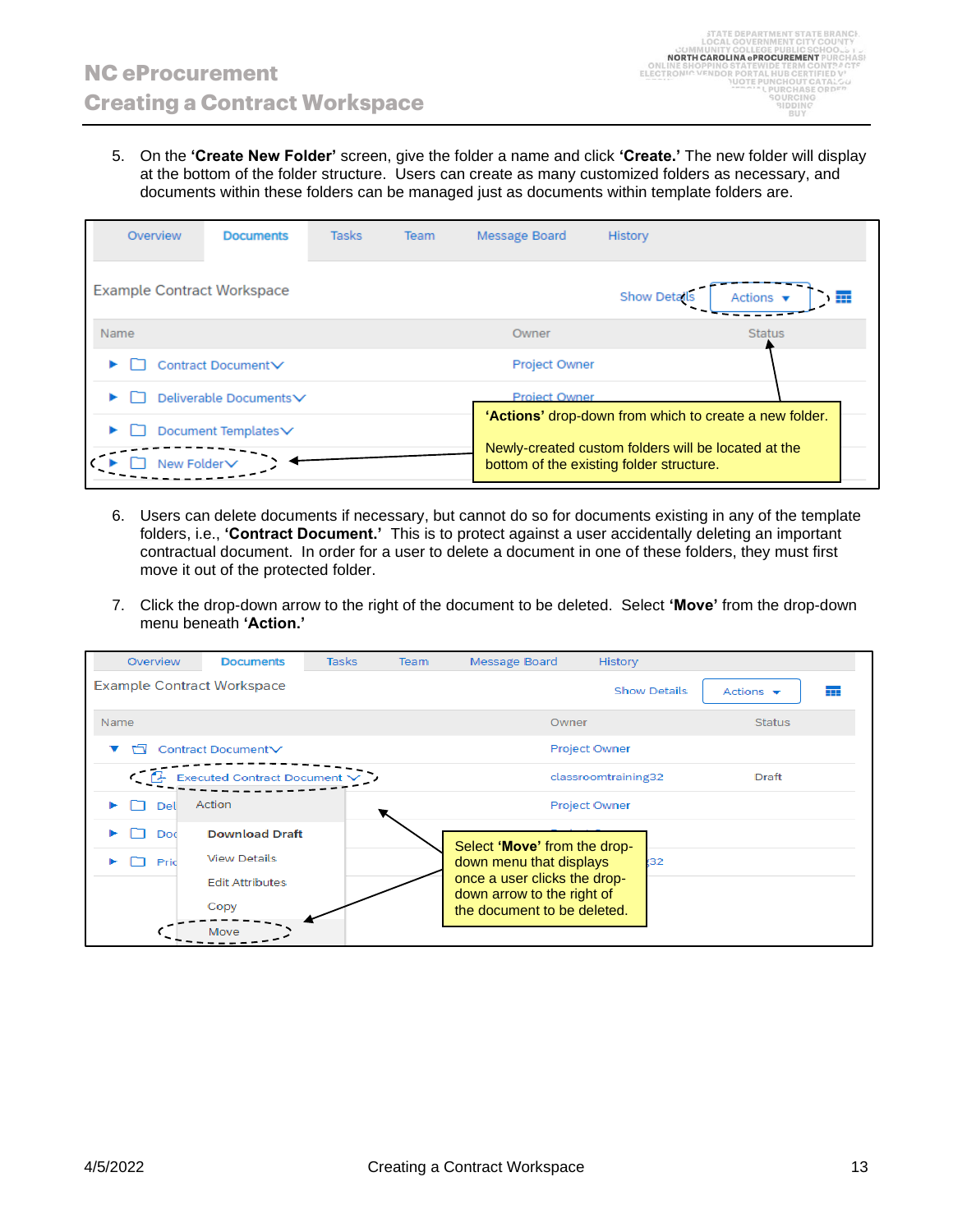5. On the **'Create New Folder'** screen, give the folder a name and click **'Create.'** The new folder will display at the bottom of the folder structure. Users can create as many customized folders as necessary, and documents within these folders can be managed just as documents within template folders are.

| Overview                          | <b>Documents</b>       | <b>Tasks</b> | Team | Message Board        | History                                                                                                                                                   |
|-----------------------------------|------------------------|--------------|------|----------------------|-----------------------------------------------------------------------------------------------------------------------------------------------------------|
| <b>Example Contract Workspace</b> |                        |              |      |                      | <b>Show Details</b><br>Actions $\mathbf{\mathbf{v}}$                                                                                                      |
| <b>Name</b>                       |                        |              |      | Owner                | <b>Status</b>                                                                                                                                             |
|                                   | Contract Document V    |              |      | <b>Project Owner</b> |                                                                                                                                                           |
|                                   | Deliverable Documents∨ |              |      | Project Owner        |                                                                                                                                                           |
| New Folder <sub>V</sub>           | Document Templates V   |              |      |                      | 'Actions' drop-down from which to create a new folder.<br>Newly-created custom folders will be located at the<br>bottom of the existing folder structure. |

- 6. Users can delete documents if necessary, but cannot do so for documents existing in any of the template folders, i.e., **'Contract Document.'** This is to protect against a user accidentally deleting an important contractual document. In order for a user to delete a document in one of these folders, they must first move it out of the protected folder.
- 7. Click the drop-down arrow to the right of the document to be deleted. Select **'Move'** from the drop-down menu beneath **'Action.'**

| Overview                          | <b>Documents</b>                                                                       | <b>Tasks</b> | Team | Message Board                                                                                                                                        | History              |                                    |  |
|-----------------------------------|----------------------------------------------------------------------------------------|--------------|------|------------------------------------------------------------------------------------------------------------------------------------------------------|----------------------|------------------------------------|--|
| <b>Example Contract Workspace</b> |                                                                                        |              |      |                                                                                                                                                      | <b>Show Details</b>  | Actions $\mathbf{\mathbf{v}}$<br>蘁 |  |
| <b>Name</b>                       |                                                                                        |              |      | Owner                                                                                                                                                |                      | <b>Status</b>                      |  |
|                                   | Contract Document∨                                                                     |              |      |                                                                                                                                                      | <b>Project Owner</b> |                                    |  |
| $\epsilon^-$                      | <b>Executed Contract Document</b>                                                      |              |      |                                                                                                                                                      | classroomtraining32  | Draft                              |  |
| Del                               | Action                                                                                 |              |      |                                                                                                                                                      | <b>Project Owner</b> |                                    |  |
| Doc<br>Prid                       | <b>Download Draft</b><br><b>View Details</b><br><b>Edit Attributes</b><br>Copy<br>Move |              |      | Select 'Move' from the drop-<br>down menu that displays<br>once a user clicks the drop-<br>down arrow to the right of<br>the document to be deleted. | (32                  |                                    |  |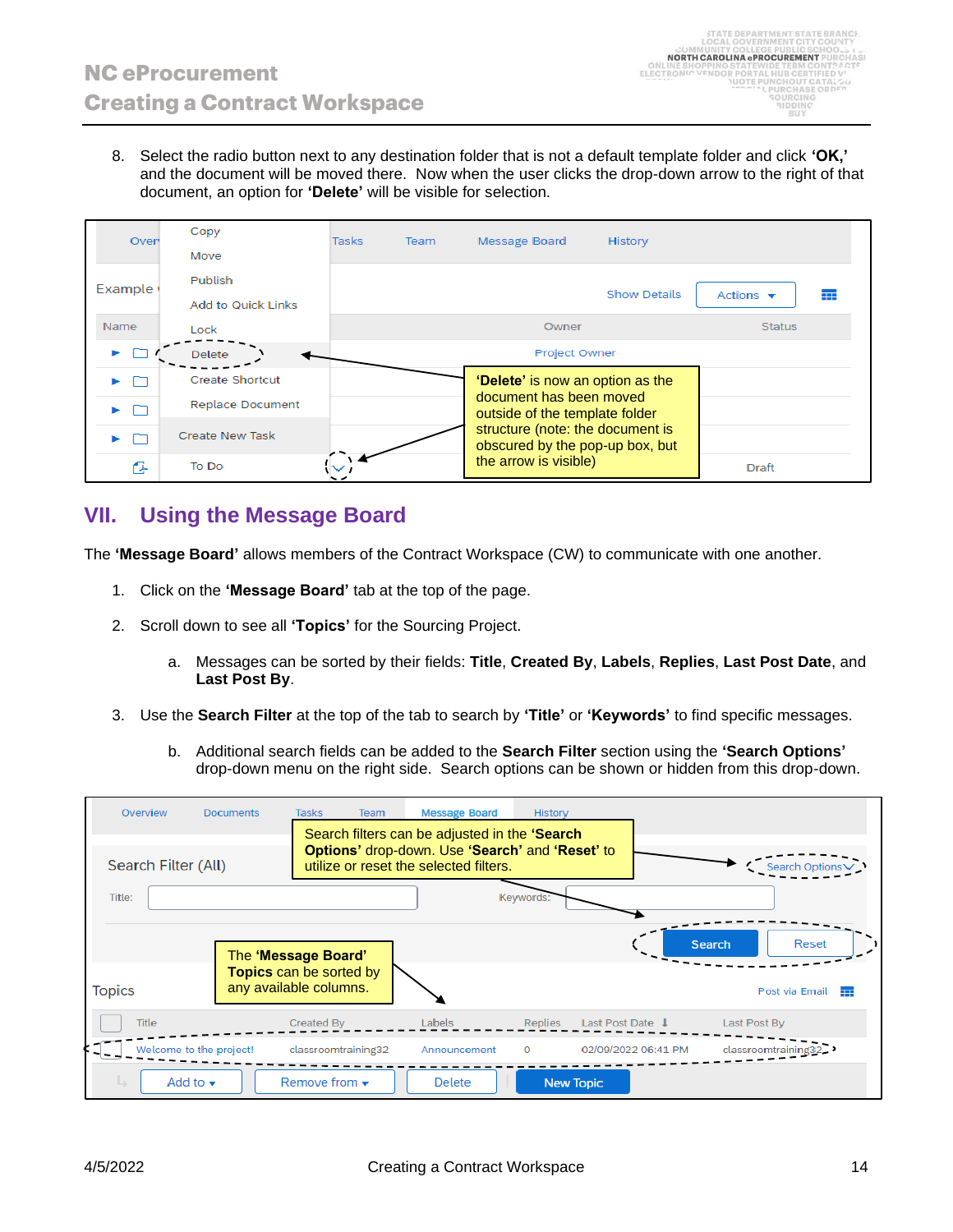8. Select the radio button next to any destination folder that is not a default template folder and click **'OK,'** and the document will be moved there. Now when the user clicks the drop-down arrow to the right of that document, an option for **'Delete'** will be visible for selection.

| Oven    | Copy                                         | <b>Tasks</b> | Team | Message Board                                                       | <b>History</b> |  |
|---------|----------------------------------------------|--------------|------|---------------------------------------------------------------------|----------------|--|
| Example | Move<br>Publish<br><b>Add to Quick Links</b> |              |      | Actions $\mathbf{\mathbf{v}}$<br>⊞                                  |                |  |
| Name    | Lock                                         |              |      | <b>Status</b>                                                       |                |  |
|         | <b>Delete</b>                                |              |      |                                                                     |                |  |
|         | <b>Create Shortcut</b>                       |              |      | <b>'Delete'</b> is now an option as the                             |                |  |
| ıт      | <b>Replace Document</b>                      |              |      | document has been moved<br>outside of the template folder           |                |  |
|         | <b>Create New Task</b>                       |              |      | structure (note: the document is<br>obscured by the pop-up box, but |                |  |
| Œ       | To Do                                        |              |      | the arrow is visible)                                               | Draft          |  |

# **VII. Using the Message Board**

The **'Message Board'** allows members of the Contract Workspace (CW) to communicate with one another.

- 1. Click on the **'Message Board'** tab at the top of the page.
- 2. Scroll down to see all **'Topics'** for the Sourcing Project.
	- a. Messages can be sorted by their fields: **Title**, **Created By**, **Labels**, **Replies**, **Last Post Date**, and **Last Post By**.
- 3. Use the **Search Filter** at the top of the tab to search by **'Title'** or **'Keywords'** to find specific messages.
	- b. Additional search fields can be added to the **Search Filter** section using the **'Search Options'** drop-down menu on the right side. Search options can be shown or hidden from this drop-down.

| Overview            |                              | <b>Documents</b>                                  | <b>Tasks</b>        | Team | <b>Message Board</b><br>Search filters can be adjusted in the 'Search'                           | <b>History</b>   |                    |                     |                     |                     |  |
|---------------------|------------------------------|---------------------------------------------------|---------------------|------|--------------------------------------------------------------------------------------------------|------------------|--------------------|---------------------|---------------------|---------------------|--|
| Search Filter (All) |                              |                                                   |                     |      | <b>Options' drop-down. Use 'Search' and 'Reset' to</b><br>utilize or reset the selected filters. |                  |                    |                     |                     | Search Opti         |  |
| Title:              |                              |                                                   |                     |      |                                                                                                  | Keywords:        |                    |                     |                     |                     |  |
|                     |                              | The 'Message Board'                               |                     |      |                                                                                                  |                  |                    |                     | <b>Search</b>       | Reset               |  |
| <b>Topics</b>       |                              | Topics can be sorted by<br>any available columns. |                     |      |                                                                                                  |                  |                    |                     |                     | Post via Email<br>亜 |  |
| <b>Title</b>        |                              |                                                   | Created By          |      | Labels                                                                                           | Replies          | Last Post Date   ↓ |                     | Last Post By        |                     |  |
|                     | Welcome to the project!      |                                                   | classroomtraining32 |      | Announcement                                                                                     | $\mathbf{O}$     |                    | 02/09/2022 06:41 PM | classroomtraining32 |                     |  |
|                     | Add to $\mathbf{\mathbf{v}}$ |                                                   | Remove from $\star$ |      | <b>Delete</b>                                                                                    | <b>New Topic</b> |                    |                     |                     |                     |  |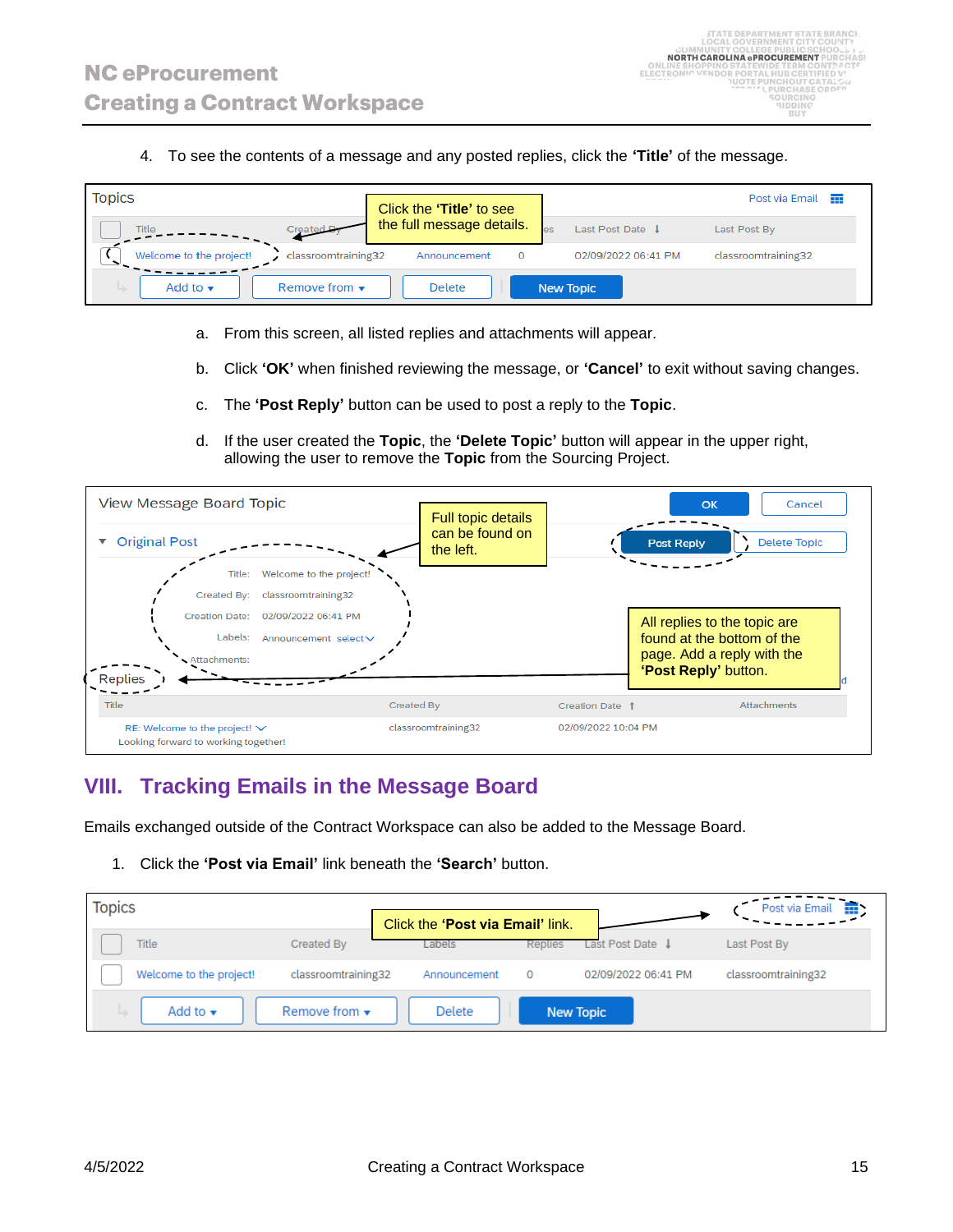4. To see the contents of a message and any posted replies, click the **'Title'** of the message.

| <b>Topics</b>                                      | Click the 'Title' to see  |                       | Post via Email<br><b>TTT</b> |
|----------------------------------------------------|---------------------------|-----------------------|------------------------------|
| Created <b>Pyrin</b><br><b>Title</b>               | the full message details. | les<br>Last Post Date | Last Post By                 |
| Welcome to the project!<br>classroomtraining32     | Announcement<br>$\Omega$  | 02/09/2022 06:41 PM   | classroomtraining32          |
| Remove from $\star$<br>Add to $\blacktriangledown$ | <b>Delete</b>             | <b>New Topic</b>      |                              |

- a. From this screen, all listed replies and attachments will appear.
- b. Click **'OK'** when finished reviewing the message, or **'Cancel'** to exit without saving changes.
- c. The **'Post Reply'** button can be used to post a reply to the **Topic**.
- d. If the user created the **Topic**, the **'Delete Topic'** button will appear in the upper right, allowing the user to remove the **Topic** from the Sourcing Project.

| <b>View Message Board Topic</b> |                                                                            |                                    |            | <b>Full topic details</b>    |                     | Cancel<br>OK                             |
|---------------------------------|----------------------------------------------------------------------------|------------------------------------|------------|------------------------------|---------------------|------------------------------------------|
| <b>Original Post</b>            |                                                                            |                                    |            | can be found on<br>the left. |                     | <b>Delete Topic</b><br><b>Post Reply</b> |
|                                 |                                                                            | Title: Welcome to the project!     |            |                              |                     |                                          |
|                                 | Created By:                                                                | classroomtraining32                |            |                              |                     |                                          |
|                                 |                                                                            | Creation Date: 02/09/2022 06:41 PM |            |                              |                     | All replies to the topic are             |
|                                 | Labels:                                                                    | Announcement selectV               |            |                              |                     | found at the bottom of the               |
|                                 | Attachments:                                                               |                                    |            |                              |                     | page. Add a reply with the               |
| Replies                         |                                                                            |                                    |            |                              |                     | 'Post Reply' button.                     |
| Title                           |                                                                            |                                    | Created By |                              | Creation Date 1     | <b>Attachments</b>                       |
|                                 | RE: Welcome to the project! $\vee$<br>Looking forward to working together! |                                    |            | classroomtraining32          | 02/09/2022 10:04 PM |                                          |

#### **VIII. Tracking Emails in the Message Board**

Emails exchanged outside of the Contract Workspace can also be added to the Message Board.

1. Click the **'Post via Email'** link beneath the **'Search'** button.

| <b>Topics</b>               |                           |                                  |                  |                     | Post via Email<br>⊞. |
|-----------------------------|---------------------------|----------------------------------|------------------|---------------------|----------------------|
|                             |                           | Click the 'Post via Email' link. |                  |                     |                      |
| <b>Title</b>                | Created By                | Labels                           | Replies          | Last Post Date J    | Last Post By         |
| Welcome to the project!     | classroomtraining32       | Announcement                     | $\Omega$         | 02/09/2022 06:41 PM | classroomtraining32  |
| Add to $\blacktriangledown$ | Remove from $\rightarrow$ | <b>Delete</b>                    | <b>New Topic</b> |                     |                      |